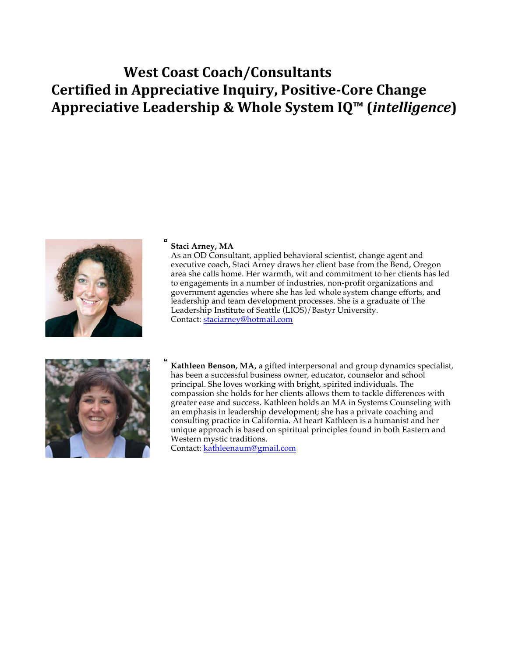## **West Coast Coach/Consultants Certified in Appreciative Inquiry, Positive-Core Change Appreciative Leadership & Whole System IQ™ (***intelligence***)**



## **Staci Arney, MA**

As an OD Consultant, applied behavioral scientist, change agent and executive coach, Staci Arney draws her client base from the Bend, Oregon area she calls home. Her warmth, wit and commitment to her clients has led to engagements in a number of industries, non-profit organizations and government agencies where she has led whole system change efforts, and leadership and team development processes. She is a graduate of The Leadership Institute of Seattle (LIOS)/Bastyr University. Contact: staciarney@hotmail.com



**Kathleen Benson, MA,** a gifted interpersonal and group dynamics specialist, has been a successful business owner, educator, counselor and school principal. She loves working with bright, spirited individuals. The compassion she holds for her clients allows them to tackle differences with greater ease and success. Kathleen holds an MA in Systems Counseling with an emphasis in leadership development; she has a private coaching and consulting practice in California. At heart Kathleen is a humanist and her unique approach is based on spiritual principles found in both Eastern and Western mystic traditions.

Contact: kathleenaum@gmail.com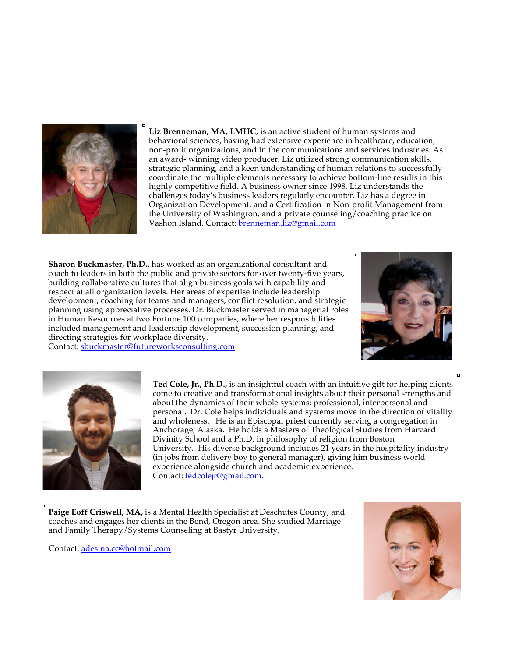

**Liz Brenneman, MA, LMHC,** is an active student of human systems and behavioral sciences, having had extensive experience in healthcare, education, non-profit organizations, and in the communications and services industries. As an award- winning video producer, Liz utilized strong communication skills, strategic planning, and a keen understanding of human relations to successfully coordinate the multiple elements necessary to achieve bottom-line results in this highly competitive field. A business owner since 1998, Liz understands the challenges today's business leaders regularly encounter. Liz has a degree in Organization Development, and a Certification in Non-profit Management from the University of Washington, and a private counseling/coaching practice on Vashon Island. Contact: brenneman.liz@gmail.com

**Sharon Buckmaster, Ph.D.,** has worked as an organizational consultant and coach to leaders in both the public and private sectors for over twenty-five years, building collaborative cultures that align business goals with capability and respect at all organization levels. Her areas of expertise include leadership development, coaching for teams and managers, conflict resolution, and strategic planning using appreciative processes. Dr. Buckmaster served in managerial roles in Human Resources at two Fortune 100 companies, where her responsibilities included management and leadership development, succession planning, and directing strategies for workplace diversity.

Contact: sbuckmaster@futureworksconsulting.com



 $\blacksquare$ 



**Ted Cole, Jr., Ph.D.,** is an insightful coach with an intuitive gift for helping clients come to creative and transformational insights about their personal strengths and about the dynamics of their whole systems: professional, interpersonal and personal. Dr. Cole helps individuals and systems move in the direction of vitality and wholeness. He is an Episcopal priest currently serving a congregation in Anchorage, Alaska. He holds a Masters of Theological Studies from Harvard Divinity School and a Ph.D. in philosophy of religion from Boston University. His diverse background includes 21 years in the hospitality industry (in jobs from delivery boy to general manager), giving him business world experience alongside church and academic experience. Contact: tedcolejr@gmail.com.

**Paige Eoff Criswell, MA,** is a Mental Health Specialist at Deschutes County, and coaches and engages her clients in the Bend, Oregon area. She studied Marriage and Family Therapy/Systems Counseling at Bastyr University.

Contact: adesina.cc@hotmail.com

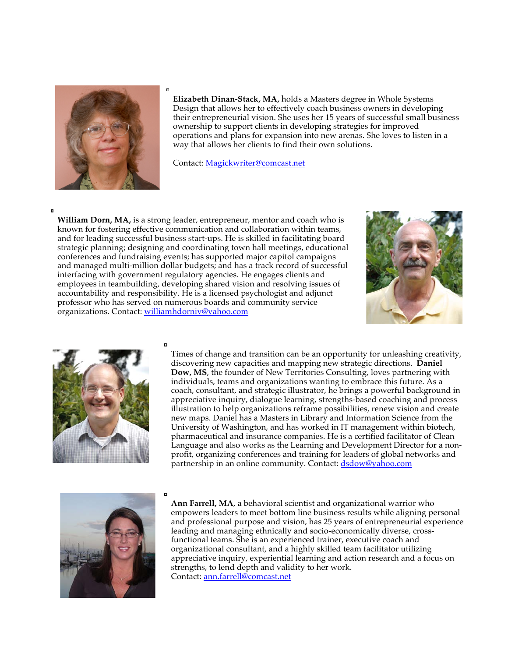

**Elizabeth Dinan-Stack, MA,** holds a Masters degree in Whole Systems Design that allows her to effectively coach business owners in developing their entrepreneurial vision. She uses her 15 years of successful small business ownership to support clients in developing strategies for improved operations and plans for expansion into new arenas. She loves to listen in a way that allows her clients to find their own solutions.

Contact: Magickwriter@comcast.net

**William Dorn, MA,** is a strong leader, entrepreneur, mentor and coach who is known for fostering effective communication and collaboration within teams, and for leading successful business start-ups. He is skilled in facilitating board strategic planning; designing and coordinating town hall meetings, educational conferences and fundraising events; has supported major capitol campaigns and managed multi-million dollar budgets; and has a track record of successful interfacing with government regulatory agencies. He engages clients and employees in teambuilding, developing shared vision and resolving issues of accountability and responsibility. He is a licensed psychologist and adjunct professor who has served on numerous boards and community service organizations. Contact: williamhdorniv@yahoo.com





Times of change and transition can be an opportunity for unleashing creativity, discovering new capacities and mapping new strategic directions. **Daniel Dow, MS**, the founder of New Territories Consulting, loves partnering with individuals, teams and organizations wanting to embrace this future. As a coach, consultant, and strategic illustrator, he brings a powerful background in appreciative inquiry, dialogue learning, strengths-based coaching and process illustration to help organizations reframe possibilities, renew vision and create new maps. Daniel has a Masters in Library and Information Science from the University of Washington, and has worked in IT management within biotech, pharmaceutical and insurance companies. He is a certified facilitator of Clean Language and also works as the Learning and Development Director for a nonprofit, organizing conferences and training for leaders of global networks and partnership in an online community. Contact: dsdow@yahoo.com



**Ann Farrell, MA**, a behavioral scientist and organizational warrior who empowers leaders to meet bottom line business results while aligning personal and professional purpose and vision, has 25 years of entrepreneurial experience leading and managing ethnically and socio-economically diverse, crossfunctional teams. She is an experienced trainer, executive coach and organizational consultant, and a highly skilled team facilitator utilizing appreciative inquiry, experiential learning and action research and a focus on strengths, to lend depth and validity to her work. Contact: ann.farrell@comcast.net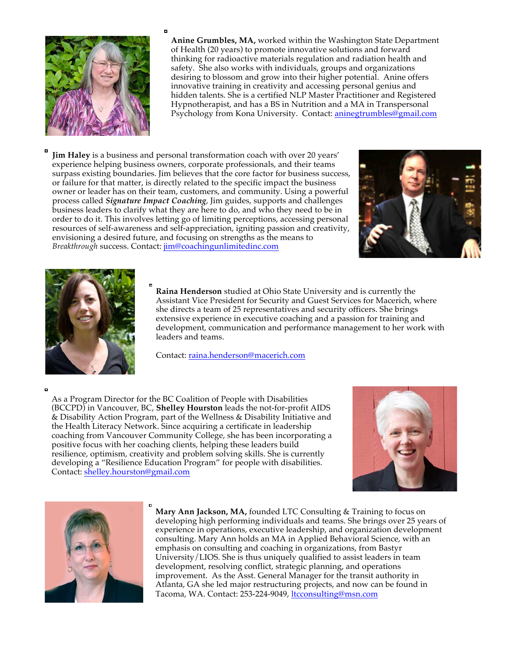

**Anine Grumbles, MA,** worked within the Washington State Department of Health (20 years) to promote innovative solutions and forward thinking for radioactive materials regulation and radiation health and safety. She also works with individuals, groups and organizations desiring to blossom and grow into their higher potential. Anine offers innovative training in creativity and accessing personal genius and hidden talents. She is a certified NLP Master Practitioner and Registered Hypnotherapist, and has a BS in Nutrition and a MA in Transpersonal Psychology from Kona University. Contact: aninegtrumbles@gmail.com

**Jim Haley** is a business and personal transformation coach with over 20 years' experience helping business owners, corporate professionals, and their teams surpass existing boundaries. Jim believes that the core factor for business success, or failure for that matter, is directly related to the specific impact the business owner or leader has on their team, customers, and community. Using a powerful process called *Signature Impact Coaching*, Jim guides, supports and challenges business leaders to clarify what they are here to do, and who they need to be in order to do it. This involves letting go of limiting perceptions, accessing personal resources of self-awareness and self-appreciation, igniting passion and creativity, envisioning a desired future, and focusing on strengths as the means to *Breakthrough* success. Contact: jim@coachingunlimitedinc.com





**Raina Henderson** studied at Ohio State University and is currently the Assistant Vice President for Security and Guest Services for Macerich, where she directs a team of 25 representatives and security officers. She brings extensive experience in executive coaching and a passion for training and development, communication and performance management to her work with leaders and teams.

Contact: raina.henderson@macerich.com

ø

As a Program Director for the BC Coalition of People with Disabilities (BCCPD) in Vancouver, BC, **Shelley Hourston** leads the not-for-profit AIDS & Disability Action Program, part of the Wellness & Disability Initiative and the Health Literacy Network. Since acquiring a certificate in leadership coaching from Vancouver Community College, she has been incorporating a positive focus with her coaching clients, helping these leaders build resilience, optimism, creativity and problem solving skills. She is currently developing a "Resilience Education Program" for people with disabilities. Contact: shelley.hourston@gmail.com





**Mary Ann Jackson, MA,** founded LTC Consulting & Training to focus on developing high performing individuals and teams. She brings over 25 years of experience in operations, executive leadership, and organization development consulting. Mary Ann holds an MA in Applied Behavioral Science, with an emphasis on consulting and coaching in organizations, from Bastyr University/LIOS. She is thus uniquely qualified to assist leaders in team development, resolving conflict, strategic planning, and operations improvement. As the Asst. General Manager for the transit authority in Atlanta, GA she led major restructuring projects, and now can be found in Tacoma, WA. Contact: 253-224-9049, ltcconsulting@msn.com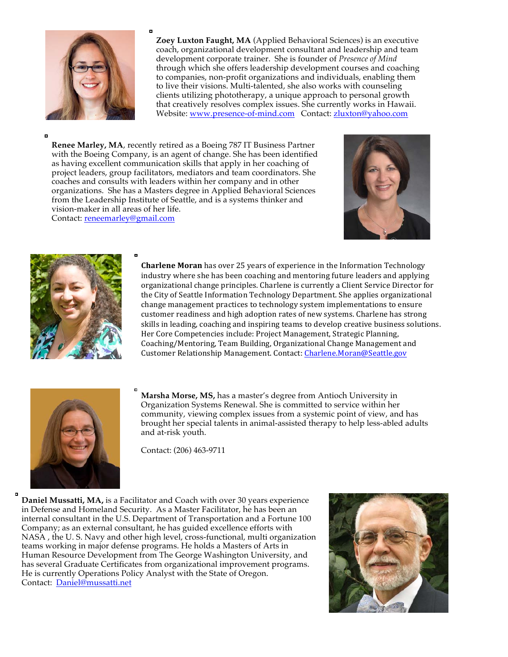

**Zoey Luxton Faught, MA** (Applied Behavioral Sciences) is an executive coach, organizational development consultant and leadership and team development corporate trainer. She is founder of *Presence of Mind* through which she offers leadership development courses and coaching to companies, non-profit organizations and individuals, enabling them to live their visions. Multi-talented, she also works with counseling clients utilizing phototherapy, a unique approach to personal growth that creatively resolves complex issues. She currently works in Hawaii. Website: www.presence-of-mind.com Contact: zluxton@yahoo.com

o

**Renee Marley, MA**, recently retired as a Boeing 787 IT Business Partner with the Boeing Company, is an agent of change. She has been identified as having excellent communication skills that apply in her coaching of project leaders, group facilitators, mediators and team coordinators. She coaches and consults with leaders within her company and in other organizations. She has a Masters degree in Applied Behavioral Sciences from the Leadership Institute of Seattle, and is a systems thinker and vision-maker in all areas of her life. Contact: reneemarley@gmail.com





**Charlene Moran** has over 25 years of experience in the Information Technology industry where she has been coaching and mentoring future leaders and applying organizational change principles. Charlene is currently a Client Service Director for the City of Seattle Information Technology Department. She applies organizational change management practices to technology system implementations to ensure customer readiness and high adoption rates of new systems. Charlene has strong skills in leading, coaching and inspiring teams to develop creative business solutions. Her Core Competencies include: Project Management, Strategic Planning, Coaching/Mentoring, Team Building, Organizational Change Management and Customer Relationship Management. Contact: Charlene.Moran@Seattle.gov



**Marsha Morse, MS,** has a master's degree from Antioch University in Organization Systems Renewal. She is committed to service within her community, viewing complex issues from a systemic point of view, and has brought her special talents in animal-assisted therapy to help less-abled adults and at-risk youth.

Contact: (206) 463-9711

**Daniel Mussatti, MA,** is a Facilitator and Coach with over 30 years experience in Defense and Homeland Security. As a Master Facilitator, he has been an internal consultant in the U.S. Department of Transportation and a Fortune 100 Company; as an external consultant, he has guided excellence efforts with NASA , the U. S. Navy and other high level, cross-functional, multi organization teams working in major defense programs. He holds a Masters of Arts in Human Resource Development from The George Washington University, and has several Graduate Certificates from organizational improvement programs. He is currently Operations Policy Analyst with the State of Oregon. Contact: Daniel@mussatti.net

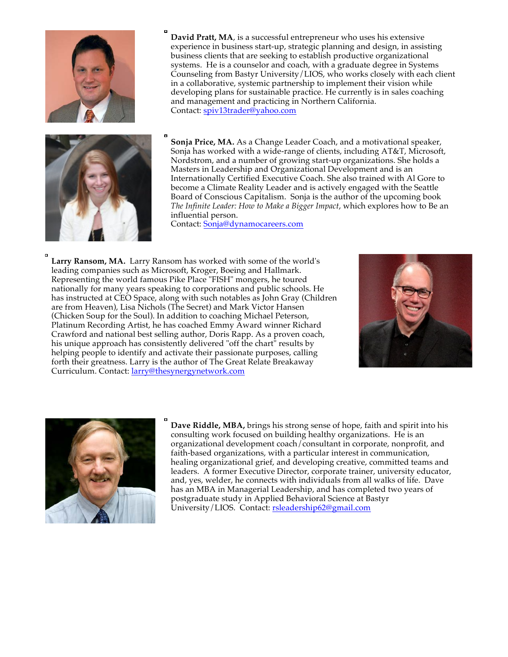

**David Pratt, MA**, is a successful entrepreneur who uses his extensive experience in business start-up, strategic planning and design, in assisting business clients that are seeking to establish productive organizational systems. He is a counselor and coach, with a graduate degree in Systems Counseling from Bastyr University/LIOS, who works closely with each client in a collaborative, systemic partnership to implement their vision while developing plans for sustainable practice. He currently is in sales coaching and management and practicing in Northern California. Contact: spiv13trader@yahoo.com



**Sonja Price, MA.** As a Change Leader Coach, and a motivational speaker, Sonja has worked with a wide-range of clients, including AT&T, Microsoft, Nordstrom, and a number of growing start-up organizations. She holds a Masters in Leadership and Organizational Development and is an Internationally Certified Executive Coach. She also trained with Al Gore to become a Climate Reality Leader and is actively engaged with the Seattle Board of Conscious Capitalism.Sonja is the author of the upcoming book *The Infinite Leader: How to Make a Bigger Impact*, which explores how to Be an influential person.

Contact: Sonja@dynamocareers.com

**Larry Ransom, MA.** Larry Ransom has worked with some of the world's leading companies such as Microsoft, Kroger, Boeing and Hallmark. Representing the world famous Pike Place "FISH" mongers, he toured nationally for many years speaking to corporations and public schools. He has instructed at CEO Space, along with such notables as John Gray (Children are from Heaven), Lisa Nichols (The Secret) and Mark Victor Hansen (Chicken Soup for the Soul). In addition to coaching Michael Peterson, Platinum Recording Artist, he has coached Emmy Award winner Richard Crawford and national best selling author, Doris Rapp. As a proven coach, his unique approach has consistently delivered "off the chart" results by helping people to identify and activate their passionate purposes, calling forth their greatness. Larry is the author of The Great Relate Breakaway Curriculum. Contact: larry@thesynergynetwork.com





**Dave Riddle, MBA,** brings his strong sense of hope, faith and spirit into his consulting work focused on building healthy organizations. He is an organizational development coach/consultant in corporate, nonprofit, and faith-based organizations, with a particular interest in communication, healing organizational grief, and developing creative, committed teams and leaders. A former Executive Director, corporate trainer, university educator, and, yes, welder, he connects with individuals from all walks of life. Dave has an MBA in Managerial Leadership, and has completed two years of postgraduate study in Applied Behavioral Science at Bastyr University/LIOS. Contact: rsleadership62@gmail.com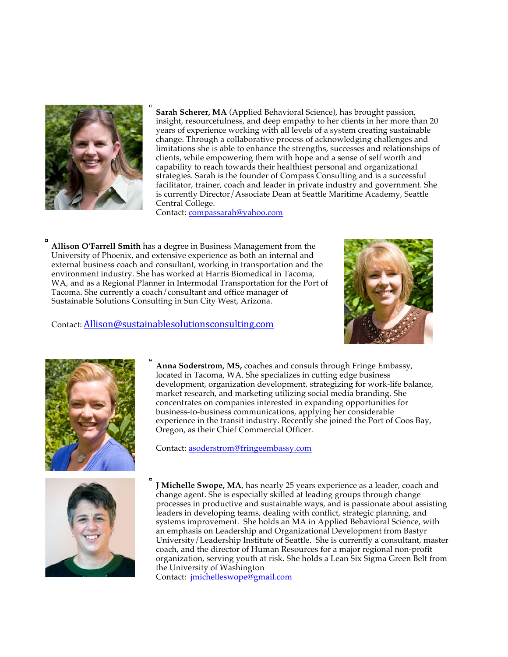

**Sarah Scherer, MA** (Applied Behavioral Science), has brought passion, insight, resourcefulness, and deep empathy to her clients in her more than 20 years of experience working with all levels of a system creating sustainable change. Through a collaborative process of acknowledging challenges and limitations she is able to enhance the strengths, successes and relationships of clients, while empowering them with hope and a sense of self worth and capability to reach towards their healthiest personal and organizational strategies. Sarah is the founder of Compass Consulting and is a successful facilitator, trainer, coach and leader in private industry and government. She is currently Director/Associate Dean at Seattle Maritime Academy, Seattle Central College.

Contact: compassarah@yahoo.com

**Allison O'Farrell Smith** has a degree in Business Management from the University of Phoenix, and extensive experience as both an internal and external business coach and consultant, working in transportation and the environment industry. She has worked at Harris Biomedical in Tacoma, WA, and as a Regional Planner in Intermodal Transportation for the Port of Tacoma. She currently a coach/consultant and office manager of Sustainable Solutions Consulting in Sun City West, Arizona.



## Contact: Allison@sustainablesolutionsconsulting.com



**Anna Soderstrom, MS,** coaches and consuls through Fringe Embassy, located in Tacoma, WA. She specializes in cutting edge business development, organization development, strategizing for work-life balance, market research, and marketing utilizing social media branding. She concentrates on companies interested in expanding opportunities for business-to-business communications, applying her considerable experience in the transit industry. Recently she joined the Port of Coos Bay, Oregon, as their Chief Commercial Officer.

Contact: asoderstrom@fringeembassy.com



**J Michelle Swope, MA**, has nearly 25 years experience as a leader, coach and change agent. She is especially skilled at leading groups through change processes in productive and sustainable ways, and is passionate about assisting leaders in developing teams, dealing with conflict, strategic planning, and systems improvement. She holds an MA in Applied Behavioral Science, with an emphasis on Leadership and Organizational Development from Bastyr University/Leadership Institute of Seattle. She is currently a consultant, master coach, and the director of Human Resources for a major regional non-profit organization, serving youth at risk. She holds a Lean Six Sigma Green Belt from the University of Washington

Contact: jmichelleswope@gmail.com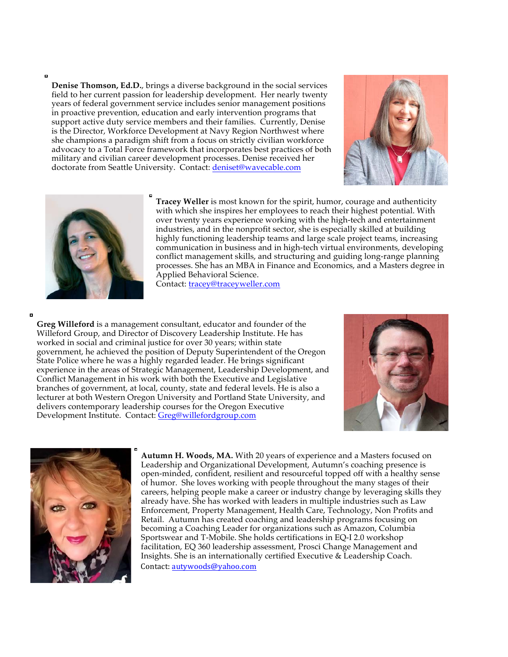$\blacksquare$ 

**Denise Thomson, Ed.D.**, brings a diverse background in the social services field to her current passion for leadership development. Her nearly twenty years of federal government service includes senior management positions in proactive prevention, education and early intervention programs that support active duty service members and their families. Currently, Denise is the Director, Workforce Development at Navy Region Northwest where she champions a paradigm shift from a focus on strictly civilian workforce advocacy to a Total Force framework that incorporates best practices of both military and civilian career development processes. Denise received her doctorate from Seattle University. Contact: deniset@wavecable.com





**Tracey Weller** is most known for the spirit, humor, courage and authenticity with which she inspires her employees to reach their highest potential. With over twenty years experience working with the high-tech and entertainment industries, and in the nonprofit sector, she is especially skilled at building highly functioning leadership teams and large scale project teams, increasing communication in business and in high-tech virtual environments, developing conflict management skills, and structuring and guiding long-range planning processes. She has an MBA in Finance and Economics, and a Masters degree in Applied Behavioral Science. Contact: tracey@traceyweller.com

**Greg Willeford** is a management consultant, educator and founder of the Willeford Group, and Director of Discovery Leadership Institute. He has worked in social and criminal justice for over 30 years; within state government, he achieved the position of Deputy Superintendent of the Oregon State Police where he was a highly regarded leader. He brings significant experience in the areas of Strategic Management, Leadership Development, and Conflict Management in his work with both the Executive and Legislative branches of government, at local, county, state and federal levels. He is also a lecturer at both Western Oregon University and Portland State University, and delivers contemporary leadership courses for the Oregon Executive Development Institute. Contact: Greg@willefordgroup.com





**Autumn H. Woods, MA.** With 20 years of experience and a Masters focused on Leadership and Organizational Development, Autumn's coaching presence is open-minded, confident, resilient and resourceful topped off with a healthy sense of humor. She loves working with people throughout the many stages of their careers, helping people make a career or industry change by leveraging skills they already have. She has worked with leaders in multiple industries such as Law Enforcement, Property Management, Health Care, Technology, Non Profits and Retail. Autumn has created coaching and leadership programs focusing on becoming a Coaching Leader for organizations such as Amazon, Columbia Sportswear and T-Mobile. She holds certifications in EQ-I 2.0 workshop facilitation, EQ 360 leadership assessment, Prosci Change Management and Insights. She is an internationally certified Executive & Leadership Coach. Contact: autywoods@yahoo.com